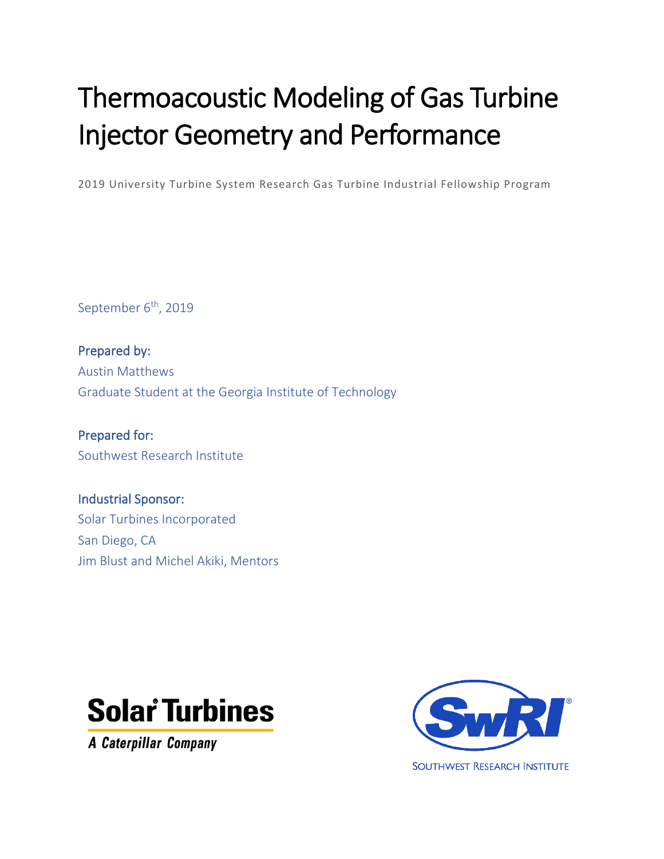# Thermoacoustic Modeling of Gas Turbine Injector Geometry and Performance

2019 University Turbine System Research Gas Turbine Industrial Fellowship Program

September 6<sup>th</sup>, 2019

Prepared by: Austin Matthews Graduate Student at the Georgia Institute of Technology

Prepared for: Southwest Research Institute

Industrial Sponsor: Solar Turbines Incorporated San Diego, CA Jim Blust and Michel Akiki, Mentors



**A Caterpillar Company** 

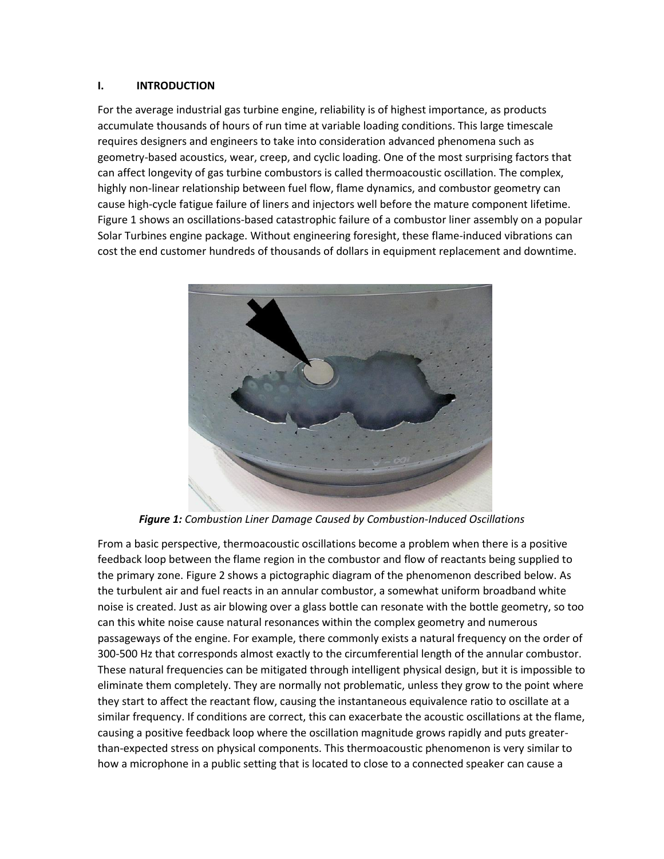### **I. INTRODUCTION**

For the average industrial gas turbine engine, reliability is of highest importance, as products accumulate thousands of hours of run time at variable loading conditions. This large timescale requires designers and engineers to take into consideration advanced phenomena such as geometry-based acoustics, wear, creep, and cyclic loading. One of the most surprising factors that can affect longevity of gas turbine combustors is called thermoacoustic oscillation. The complex, highly non-linear relationship between fuel flow, flame dynamics, and combustor geometry can cause high-cycle fatigue failure of liners and injectors well before the mature component lifetime. Figure 1 shows an oscillations-based catastrophic failure of a combustor liner assembly on a popular Solar Turbines engine package. Without engineering foresight, these flame-induced vibrations can cost the end customer hundreds of thousands of dollars in equipment replacement and downtime.



*Figure 1: Combustion Liner Damage Caused by Combustion-Induced Oscillations*

From a basic perspective, thermoacoustic oscillations become a problem when there is a positive feedback loop between the flame region in the combustor and flow of reactants being supplied to the primary zone. Figure 2 shows a pictographic diagram of the phenomenon described below. As the turbulent air and fuel reacts in an annular combustor, a somewhat uniform broadband white noise is created. Just as air blowing over a glass bottle can resonate with the bottle geometry, so too can this white noise cause natural resonances within the complex geometry and numerous passageways of the engine. For example, there commonly exists a natural frequency on the order of 300-500 Hz that corresponds almost exactly to the circumferential length of the annular combustor. These natural frequencies can be mitigated through intelligent physical design, but it is impossible to eliminate them completely. They are normally not problematic, unless they grow to the point where they start to affect the reactant flow, causing the instantaneous equivalence ratio to oscillate at a similar frequency. If conditions are correct, this can exacerbate the acoustic oscillations at the flame, causing a positive feedback loop where the oscillation magnitude grows rapidly and puts greaterthan-expected stress on physical components. This thermoacoustic phenomenon is very similar to how a microphone in a public setting that is located to close to a connected speaker can cause a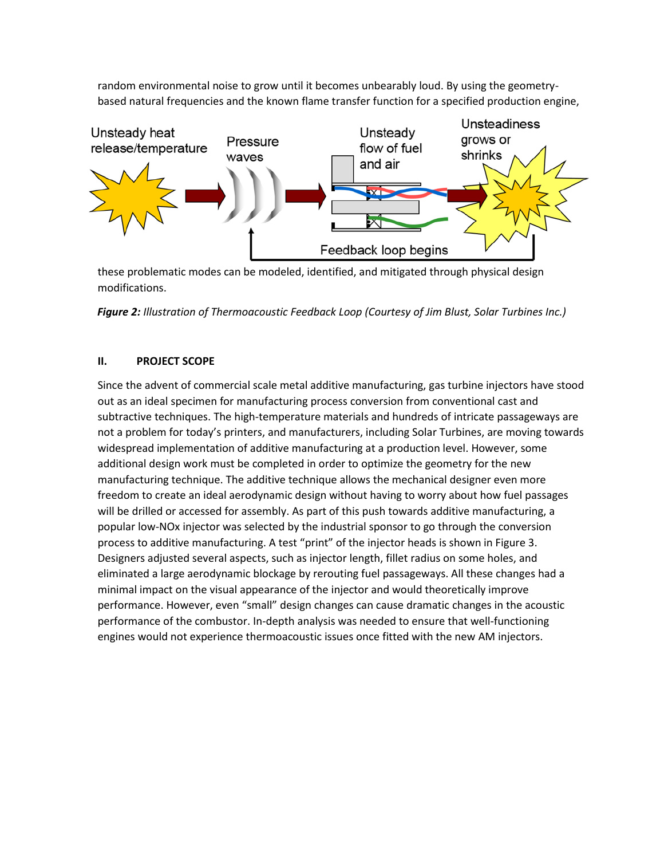random environmental noise to grow until it becomes unbearably loud. By using the geometrybased natural frequencies and the known flame transfer function for a specified production engine,



these problematic modes can be modeled, identified, and mitigated through physical design modifications.

*Figure 2: Illustration of Thermoacoustic Feedback Loop (Courtesy of Jim Blust, Solar Turbines Inc.)*

# **II. PROJECT SCOPE**

Since the advent of commercial scale metal additive manufacturing, gas turbine injectors have stood out as an ideal specimen for manufacturing process conversion from conventional cast and subtractive techniques. The high-temperature materials and hundreds of intricate passageways are not a problem for today's printers, and manufacturers, including Solar Turbines, are moving towards widespread implementation of additive manufacturing at a production level. However, some additional design work must be completed in order to optimize the geometry for the new manufacturing technique. The additive technique allows the mechanical designer even more freedom to create an ideal aerodynamic design without having to worry about how fuel passages will be drilled or accessed for assembly. As part of this push towards additive manufacturing, a popular low-NOx injector was selected by the industrial sponsor to go through the conversion process to additive manufacturing. A test "print" of the injector heads is shown in Figure 3. Designers adjusted several aspects, such as injector length, fillet radius on some holes, and eliminated a large aerodynamic blockage by rerouting fuel passageways. All these changes had a minimal impact on the visual appearance of the injector and would theoretically improve performance. However, even "small" design changes can cause dramatic changes in the acoustic performance of the combustor. In-depth analysis was needed to ensure that well-functioning engines would not experience thermoacoustic issues once fitted with the new AM injectors.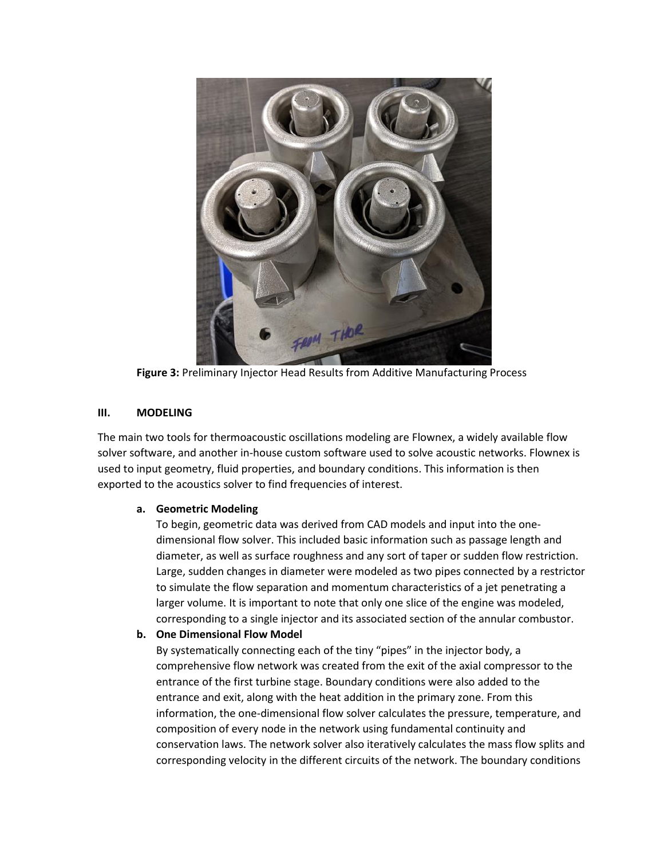

**Figure 3:** Preliminary Injector Head Results from Additive Manufacturing Process

# **III. MODELING**

The main two tools for thermoacoustic oscillations modeling are Flownex, a widely available flow solver software, and another in-house custom software used to solve acoustic networks. Flownex is used to input geometry, fluid properties, and boundary conditions. This information is then exported to the acoustics solver to find frequencies of interest.

## **a. Geometric Modeling**

To begin, geometric data was derived from CAD models and input into the onedimensional flow solver. This included basic information such as passage length and diameter, as well as surface roughness and any sort of taper or sudden flow restriction. Large, sudden changes in diameter were modeled as two pipes connected by a restrictor to simulate the flow separation and momentum characteristics of a jet penetrating a larger volume. It is important to note that only one slice of the engine was modeled, corresponding to a single injector and its associated section of the annular combustor.

# **b. One Dimensional Flow Model**

By systematically connecting each of the tiny "pipes" in the injector body, a comprehensive flow network was created from the exit of the axial compressor to the entrance of the first turbine stage. Boundary conditions were also added to the entrance and exit, along with the heat addition in the primary zone. From this information, the one-dimensional flow solver calculates the pressure, temperature, and composition of every node in the network using fundamental continuity and conservation laws. The network solver also iteratively calculates the mass flow splits and corresponding velocity in the different circuits of the network. The boundary conditions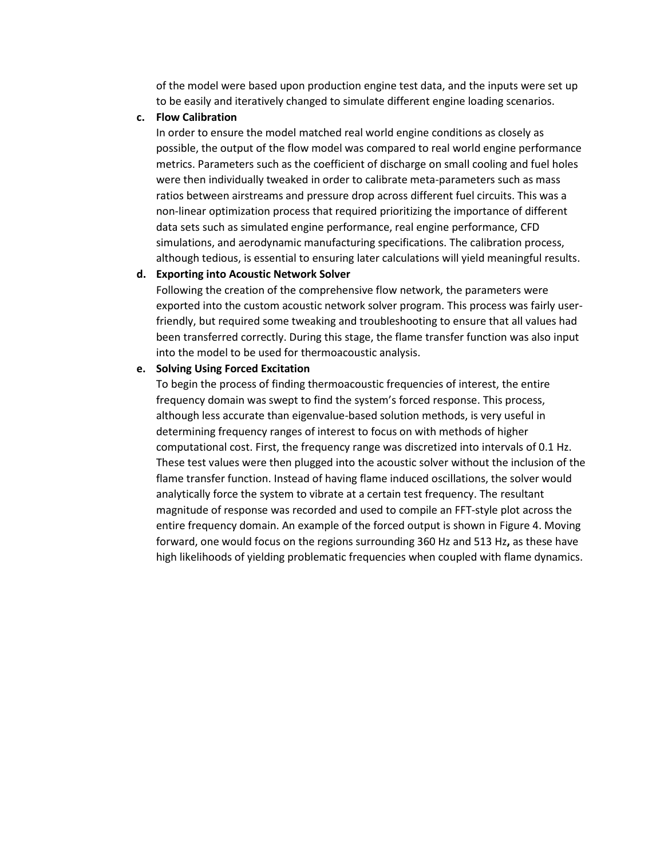of the model were based upon production engine test data, and the inputs were set up to be easily and iteratively changed to simulate different engine loading scenarios.

#### **c. Flow Calibration**

In order to ensure the model matched real world engine conditions as closely as possible, the output of the flow model was compared to real world engine performance metrics. Parameters such as the coefficient of discharge on small cooling and fuel holes were then individually tweaked in order to calibrate meta-parameters such as mass ratios between airstreams and pressure drop across different fuel circuits. This was a non-linear optimization process that required prioritizing the importance of different data sets such as simulated engine performance, real engine performance, CFD simulations, and aerodynamic manufacturing specifications. The calibration process, although tedious, is essential to ensuring later calculations will yield meaningful results.

#### **d. Exporting into Acoustic Network Solver**

Following the creation of the comprehensive flow network, the parameters were exported into the custom acoustic network solver program. This process was fairly userfriendly, but required some tweaking and troubleshooting to ensure that all values had been transferred correctly. During this stage, the flame transfer function was also input into the model to be used for thermoacoustic analysis.

#### **e. Solving Using Forced Excitation**

To begin the process of finding thermoacoustic frequencies of interest, the entire frequency domain was swept to find the system's forced response. This process, although less accurate than eigenvalue-based solution methods, is very useful in determining frequency ranges of interest to focus on with methods of higher computational cost. First, the frequency range was discretized into intervals of 0.1 Hz. These test values were then plugged into the acoustic solver without the inclusion of the flame transfer function. Instead of having flame induced oscillations, the solver would analytically force the system to vibrate at a certain test frequency. The resultant magnitude of response was recorded and used to compile an FFT-style plot across the entire frequency domain. An example of the forced output is shown in Figure 4. Moving forward, one would focus on the regions surrounding 360 Hz and 513 Hz**,** as these have high likelihoods of yielding problematic frequencies when coupled with flame dynamics.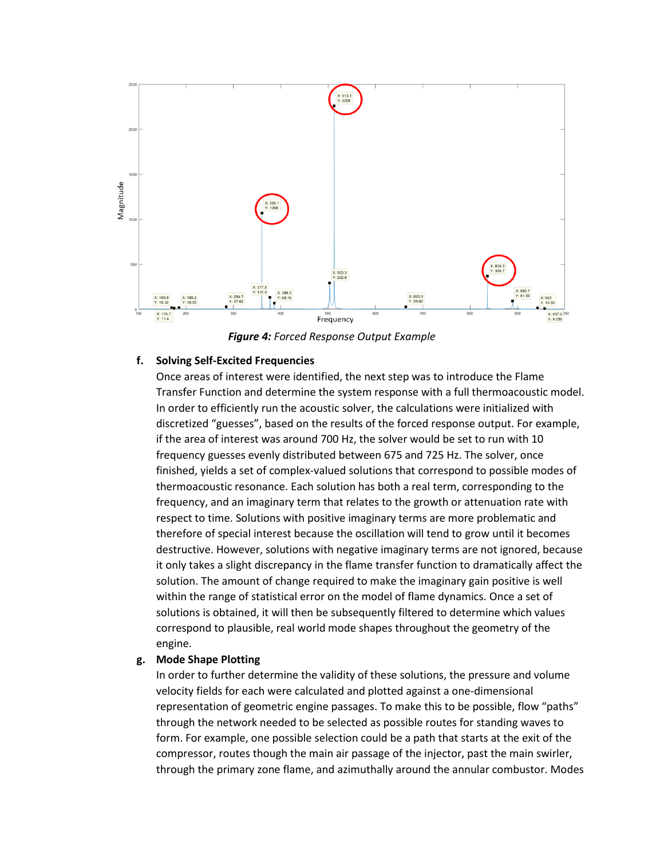

*Figure 4: Forced Response Output Example*

## **f. Solving Self-Excited Frequencies**

Once areas of interest were identified, the next step was to introduce the Flame Transfer Function and determine the system response with a full thermoacoustic model. In order to efficiently run the acoustic solver, the calculations were initialized with discretized "guesses", based on the results of the forced response output. For example, if the area of interest was around 700 Hz, the solver would be set to run with 10 frequency guesses evenly distributed between 675 and 725 Hz. The solver, once finished, yields a set of complex-valued solutions that correspond to possible modes of thermoacoustic resonance. Each solution has both a real term, corresponding to the frequency, and an imaginary term that relates to the growth or attenuation rate with respect to time. Solutions with positive imaginary terms are more problematic and therefore of special interest because the oscillation will tend to grow until it becomes destructive. However, solutions with negative imaginary terms are not ignored, because it only takes a slight discrepancy in the flame transfer function to dramatically affect the solution. The amount of change required to make the imaginary gain positive is well within the range of statistical error on the model of flame dynamics. Once a set of solutions is obtained, it will then be subsequently filtered to determine which values correspond to plausible, real world mode shapes throughout the geometry of the engine.

#### **g. Mode Shape Plotting**

In order to further determine the validity of these solutions, the pressure and volume velocity fields for each were calculated and plotted against a one-dimensional representation of geometric engine passages. To make this to be possible, flow "paths" through the network needed to be selected as possible routes for standing waves to form. For example, one possible selection could be a path that starts at the exit of the compressor, routes though the main air passage of the injector, past the main swirler, through the primary zone flame, and azimuthally around the annular combustor. Modes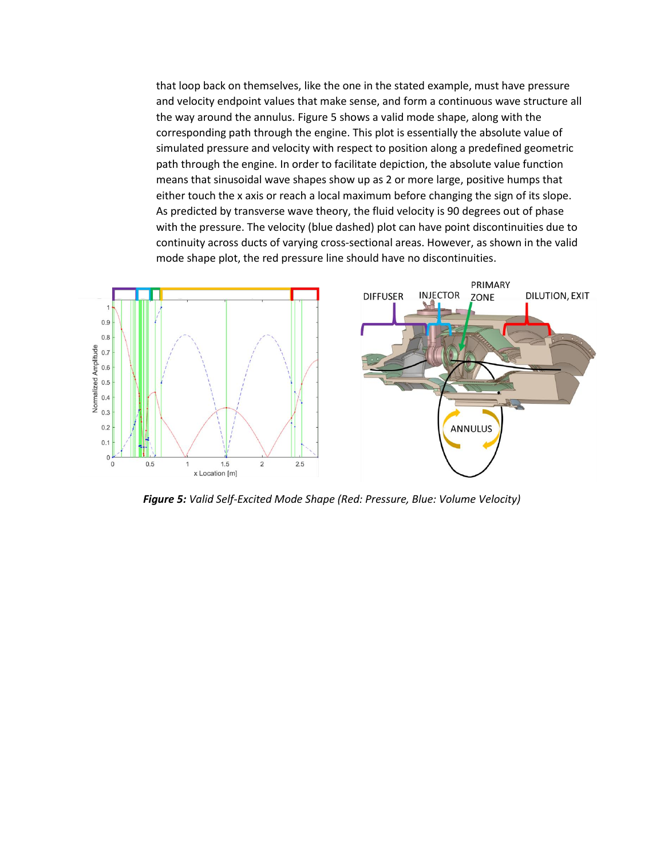that loop back on themselves, like the one in the stated example, must have pressure and velocity endpoint values that make sense, and form a continuous wave structure all the way around the annulus. Figure 5 shows a valid mode shape, along with the corresponding path through the engine. This plot is essentially the absolute value of simulated pressure and velocity with respect to position along a predefined geometric path through the engine. In order to facilitate depiction, the absolute value function means that sinusoidal wave shapes show up as 2 or more large, positive humps that either touch the x axis or reach a local maximum before changing the sign of its slope. As predicted by transverse wave theory, the fluid velocity is 90 degrees out of phase with the pressure. The velocity (blue dashed) plot can have point discontinuities due to continuity across ducts of varying cross-sectional areas. However, as shown in the valid mode shape plot, the red pressure line should have no discontinuities.



*Figure 5: Valid Self-Excited Mode Shape (Red: Pressure, Blue: Volume Velocity)*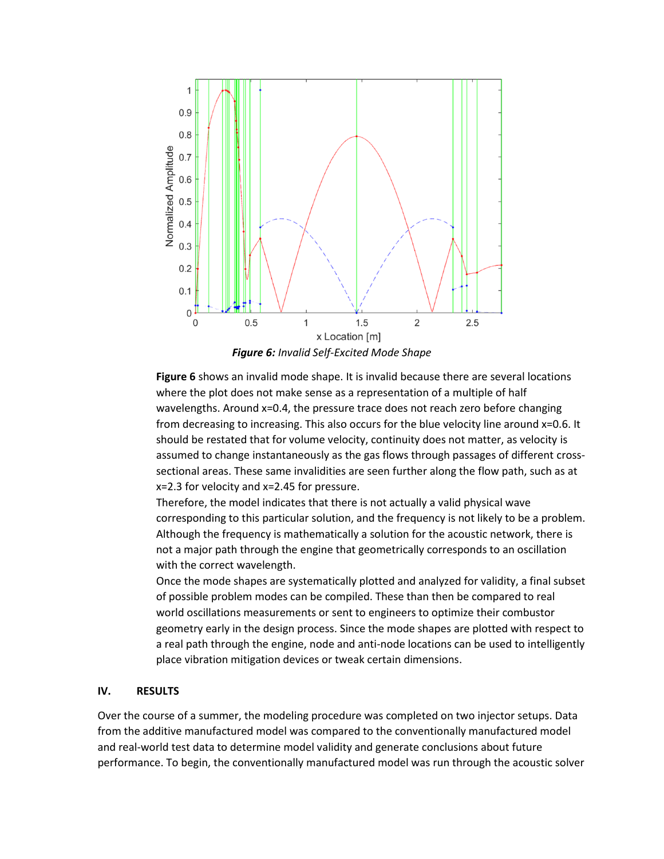

*Figure 6: Invalid Self-Excited Mode Shape*

**Figure 6** shows an invalid mode shape. It is invalid because there are several locations where the plot does not make sense as a representation of a multiple of half wavelengths. Around x=0.4, the pressure trace does not reach zero before changing from decreasing to increasing. This also occurs for the blue velocity line around x=0.6. It should be restated that for volume velocity, continuity does not matter, as velocity is assumed to change instantaneously as the gas flows through passages of different crosssectional areas. These same invalidities are seen further along the flow path, such as at x=2.3 for velocity and x=2.45 for pressure.

Therefore, the model indicates that there is not actually a valid physical wave corresponding to this particular solution, and the frequency is not likely to be a problem. Although the frequency is mathematically a solution for the acoustic network, there is not a major path through the engine that geometrically corresponds to an oscillation with the correct wavelength.

Once the mode shapes are systematically plotted and analyzed for validity, a final subset of possible problem modes can be compiled. These than then be compared to real world oscillations measurements or sent to engineers to optimize their combustor geometry early in the design process. Since the mode shapes are plotted with respect to a real path through the engine, node and anti-node locations can be used to intelligently place vibration mitigation devices or tweak certain dimensions.

## **IV. RESULTS**

Over the course of a summer, the modeling procedure was completed on two injector setups. Data from the additive manufactured model was compared to the conventionally manufactured model and real-world test data to determine model validity and generate conclusions about future performance. To begin, the conventionally manufactured model was run through the acoustic solver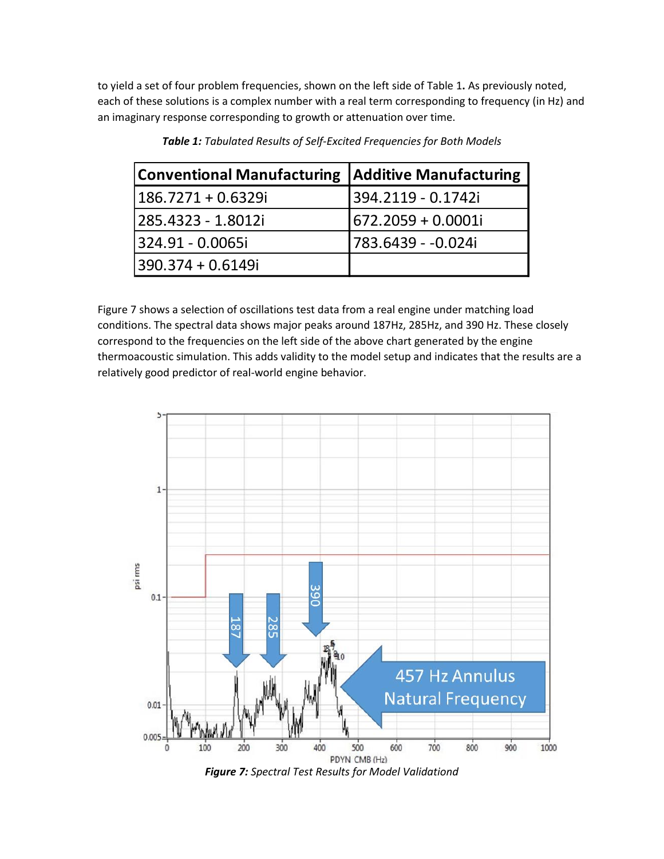to yield a set of four problem frequencies, shown on the left side of Table 1**.** As previously noted, each of these solutions is a complex number with a real term corresponding to frequency (in Hz) and an imaginary response corresponding to growth or attenuation over time.

| <b>Conventional Manufacturing</b> | <b>Additive Manufacturing</b> |
|-----------------------------------|-------------------------------|
| $186.7271 + 0.6329i$              | 394.2119 - 0.1742i            |
| 285.4323 - 1.8012i                | 672.2059 + 0.0001i            |
| 324.91 - 0.0065i                  | 783.6439 - -0.024i            |
| $390.374 + 0.6149i$               |                               |

*Table 1: Tabulated Results of Self-Excited Frequencies for Both Models*

Figure 7 shows a selection of oscillations test data from a real engine under matching load conditions. The spectral data shows major peaks around 187Hz, 285Hz, and 390 Hz. These closely correspond to the frequencies on the left side of the above chart generated by the engine thermoacoustic simulation. This adds validity to the model setup and indicates that the results are a relatively good predictor of real-world engine behavior.



*Figure 7: Spectral Test Results for Model Validationd*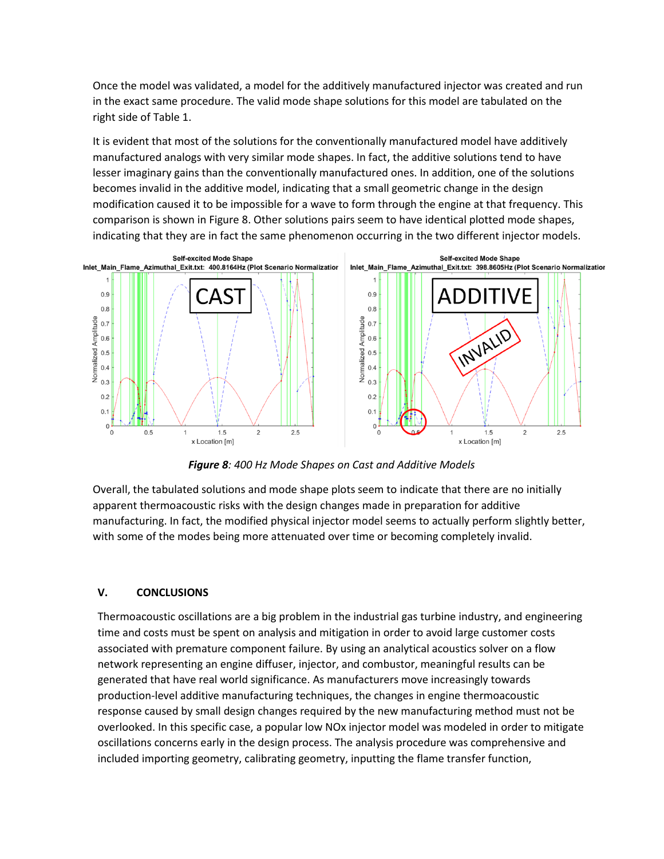Once the model was validated, a model for the additively manufactured injector was created and run in the exact same procedure. The valid mode shape solutions for this model are tabulated on the right side of Table 1.

It is evident that most of the solutions for the conventionally manufactured model have additively manufactured analogs with very similar mode shapes. In fact, the additive solutions tend to have lesser imaginary gains than the conventionally manufactured ones. In addition, one of the solutions becomes invalid in the additive model, indicating that a small geometric change in the design modification caused it to be impossible for a wave to form through the engine at that frequency. This comparison is shown in Figure 8. Other solutions pairs seem to have identical plotted mode shapes, indicating that they are in fact the same phenomenon occurring in the two different injector models.



*Figure 8: 400 Hz Mode Shapes on Cast and Additive Models*

Overall, the tabulated solutions and mode shape plots seem to indicate that there are no initially apparent thermoacoustic risks with the design changes made in preparation for additive manufacturing. In fact, the modified physical injector model seems to actually perform slightly better, with some of the modes being more attenuated over time or becoming completely invalid.

# **V. CONCLUSIONS**

Thermoacoustic oscillations are a big problem in the industrial gas turbine industry, and engineering time and costs must be spent on analysis and mitigation in order to avoid large customer costs associated with premature component failure. By using an analytical acoustics solver on a flow network representing an engine diffuser, injector, and combustor, meaningful results can be generated that have real world significance. As manufacturers move increasingly towards production-level additive manufacturing techniques, the changes in engine thermoacoustic response caused by small design changes required by the new manufacturing method must not be overlooked. In this specific case, a popular low NOx injector model was modeled in order to mitigate oscillations concerns early in the design process. The analysis procedure was comprehensive and included importing geometry, calibrating geometry, inputting the flame transfer function,